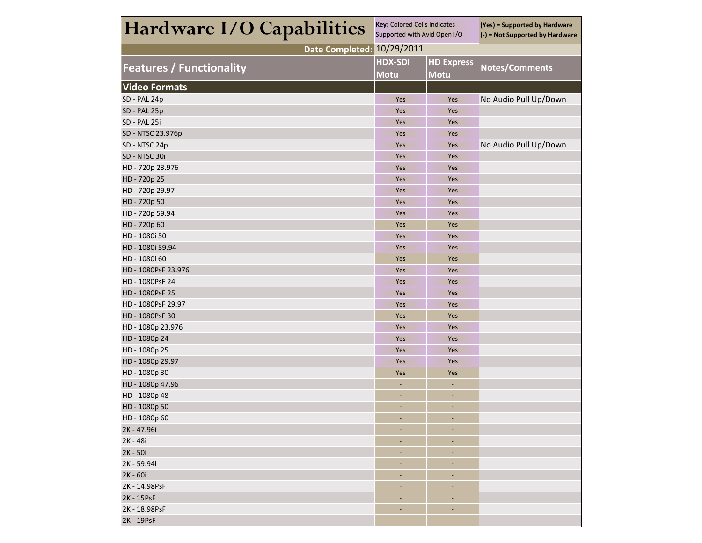| Hardware I/O Capabilities       | <b>Key: Colored Cells Indicates</b><br>Supported with Avid Open I/O |                                  | (Yes) = Supported by Hardware<br>(-) = Not Supported by Hardware |  |  |
|---------------------------------|---------------------------------------------------------------------|----------------------------------|------------------------------------------------------------------|--|--|
| Date Completed: 10/29/2011      |                                                                     |                                  |                                                                  |  |  |
| <b>Features / Functionality</b> | <b>HDX-SDI</b><br><b>Motu</b>                                       | <b>HD Express</b><br><b>Motu</b> | Notes/Comments                                                   |  |  |
| <b>Video Formats</b>            |                                                                     |                                  |                                                                  |  |  |
| SD - PAL 24p                    | Yes                                                                 | Yes                              | No Audio Pull Up/Down                                            |  |  |
| SD - PAL 25p                    | Yes                                                                 | Yes                              |                                                                  |  |  |
| SD - PAL 25i                    | Yes                                                                 | Yes                              |                                                                  |  |  |
| SD - NTSC 23.976p               | Yes                                                                 | Yes                              |                                                                  |  |  |
| SD - NTSC 24p                   | Yes                                                                 | Yes                              | No Audio Pull Up/Down                                            |  |  |
| SD - NTSC 30i                   | Yes                                                                 | Yes                              |                                                                  |  |  |
| HD - 720p 23.976                | Yes                                                                 | Yes                              |                                                                  |  |  |
| HD - 720p 25                    | Yes                                                                 | Yes                              |                                                                  |  |  |
| HD - 720p 29.97                 | Yes                                                                 | Yes                              |                                                                  |  |  |
| HD - 720p 50                    | Yes                                                                 | Yes                              |                                                                  |  |  |
| HD - 720p 59.94                 | Yes                                                                 | Yes                              |                                                                  |  |  |
| HD - 720p 60                    | Yes                                                                 | Yes                              |                                                                  |  |  |
| HD - 1080i 50                   | Yes                                                                 | Yes                              |                                                                  |  |  |
| HD - 1080i 59.94                | Yes                                                                 | Yes                              |                                                                  |  |  |
| HD - 1080i 60                   | Yes                                                                 | Yes                              |                                                                  |  |  |
| HD - 1080PsF 23.976             | Yes                                                                 | Yes                              |                                                                  |  |  |
| HD - 1080PsF 24                 | Yes                                                                 | Yes                              |                                                                  |  |  |
| HD - 1080PsF 25                 | Yes                                                                 | Yes                              |                                                                  |  |  |
| HD - 1080PsF 29.97              | Yes                                                                 | Yes                              |                                                                  |  |  |
| HD - 1080PsF 30                 | Yes                                                                 | Yes                              |                                                                  |  |  |
| HD - 1080p 23.976               | Yes                                                                 | Yes                              |                                                                  |  |  |
| HD - 1080p 24                   | Yes                                                                 | Yes                              |                                                                  |  |  |
| HD - 1080p 25                   | Yes                                                                 | Yes                              |                                                                  |  |  |
| HD - 1080p 29.97                | Yes                                                                 | Yes                              |                                                                  |  |  |
| HD - 1080p 30                   | Yes                                                                 | Yes                              |                                                                  |  |  |
| HD - 1080p 47.96                | ٠                                                                   |                                  |                                                                  |  |  |
| HD - 1080p 48                   |                                                                     |                                  |                                                                  |  |  |
| HD - 1080p 50                   | ÷,                                                                  |                                  |                                                                  |  |  |
| HD - 1080p 60                   |                                                                     |                                  |                                                                  |  |  |
| 2K - 47.96i                     |                                                                     |                                  |                                                                  |  |  |
| 2K - 48i                        | ٠                                                                   | ٠                                |                                                                  |  |  |
| 2K - 50i                        | ٠                                                                   |                                  |                                                                  |  |  |
| 2K - 59.94i                     | ٠                                                                   | ٠                                |                                                                  |  |  |
| 2K - 60i                        | -                                                                   | -                                |                                                                  |  |  |
| 2K - 14.98PsF                   |                                                                     | ٠                                |                                                                  |  |  |
| 2K - 15PsF                      | ۰                                                                   |                                  |                                                                  |  |  |
| 2K - 18.98PsF                   |                                                                     |                                  |                                                                  |  |  |
| 2K - 19PsF                      | $\overline{\phantom{a}}$                                            |                                  |                                                                  |  |  |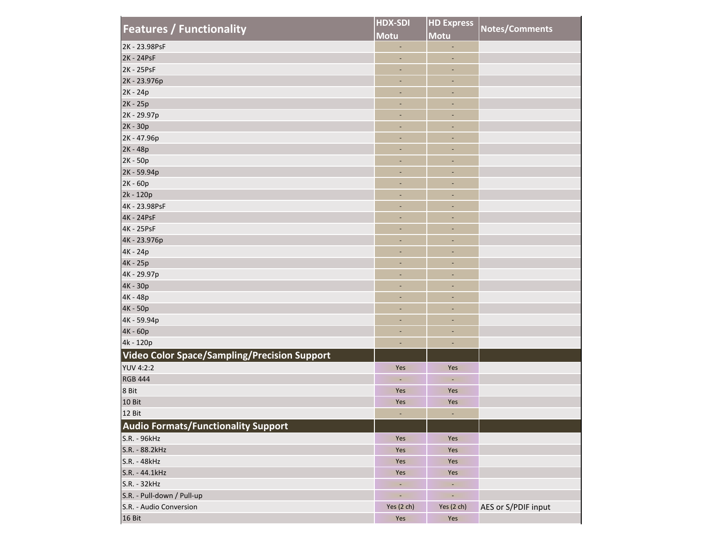| <b>Features / Functionality</b>                     | <b>HDX-SDI</b>           | <b>HD Express</b>            | Notes/Comments      |  |
|-----------------------------------------------------|--------------------------|------------------------------|---------------------|--|
|                                                     | <b>Motu</b>              | Motu                         |                     |  |
| 2K - 23.98PsF                                       | $\blacksquare$           | $\omega$                     |                     |  |
| 2K - 24PsF                                          | $\blacksquare$           | ÷,                           |                     |  |
| 2K - 25PsF                                          | $\sim$                   | $\sim$                       |                     |  |
| 2K - 23.976p                                        | $\overline{\phantom{a}}$ | $\overline{\phantom{a}}$     |                     |  |
| 2K - 24p                                            | ٠                        | $\overline{\phantom{a}}$     |                     |  |
| 2K - 25p                                            | ٠                        | $\overline{\phantom{a}}$     |                     |  |
| 2K - 29.97p                                         | ٠                        | ٠                            |                     |  |
| 2K - 30p                                            | ٠                        | ٠                            |                     |  |
| 2K - 47.96p                                         | $\overline{\phantom{a}}$ | $\blacksquare$               |                     |  |
| 2K - 48p                                            | ٠                        | $\overline{\phantom{a}}$     |                     |  |
| 2K - 50p                                            | $\overline{\phantom{a}}$ | ٠                            |                     |  |
| 2K - 59.94p                                         | ٠                        | ٠                            |                     |  |
| 2K - 60p                                            | ٠                        | $\overline{\phantom{a}}$     |                     |  |
| 2k - 120p                                           | ٠                        | ٠                            |                     |  |
| 4K - 23.98PsF                                       | ٠                        | ٠                            |                     |  |
| 4K - 24PsF                                          | $\overline{\phantom{a}}$ | $\overline{\phantom{a}}$     |                     |  |
| 4K - 25PsF                                          | $\sim$                   | $\sim$                       |                     |  |
| 4K - 23.976p                                        | $\overline{\phantom{a}}$ | $\overline{\phantom{a}}$     |                     |  |
| 4K - 24p                                            | ٠                        | ٠                            |                     |  |
| 4K - 25p                                            | ٠                        | $\blacksquare$               |                     |  |
| 4K - 29.97p                                         | $\overline{\phantom{a}}$ | ٠                            |                     |  |
| 4K - 30p                                            | ٠                        | $\blacksquare$               |                     |  |
| 4K - 48p                                            | ٠                        | $\qquad \qquad \blacksquare$ |                     |  |
| 4K - 50p                                            | ٠                        | ٠                            |                     |  |
| 4K - 59.94p                                         | $\sim$                   | $\overline{\phantom{a}}$     |                     |  |
| 4K - 60p                                            | ٠                        | $\overline{\phantom{a}}$     |                     |  |
| 4k - 120p                                           | ٠                        | $\overline{\phantom{a}}$     |                     |  |
| <b>Video Color Space/Sampling/Precision Support</b> |                          |                              |                     |  |
| <b>YUV 4:2:2</b>                                    | Yes                      | Yes                          |                     |  |
| <b>RGB 444</b>                                      | $\blacksquare$           | $\sim$                       |                     |  |
| 8 Bit                                               | Yes                      | Yes                          |                     |  |
| 10 Bit                                              | Yes                      | Yes                          |                     |  |
| 12 Bit                                              |                          |                              |                     |  |
| <b>Audio Formats/Functionality Support</b>          |                          |                              |                     |  |
|                                                     |                          |                              |                     |  |
| S.R. - 96kHz                                        | Yes                      | Yes                          |                     |  |
| S.R. - 88.2kHz                                      | Yes                      | Yes                          |                     |  |
| S.R. - 48kHz                                        | Yes                      | Yes                          |                     |  |
| S.R. - 44.1kHz                                      | Yes                      | Yes                          |                     |  |
| S.R. - 32kHz                                        | $\overline{\phantom{a}}$ | $\sim$                       |                     |  |
| S.R. - Pull-down / Pull-up                          | $\overline{\phantom{a}}$ | $\overline{\phantom{a}}$     |                     |  |
| S.R. - Audio Conversion                             | Yes (2 ch)               | Yes (2 ch)                   | AES or S/PDIF input |  |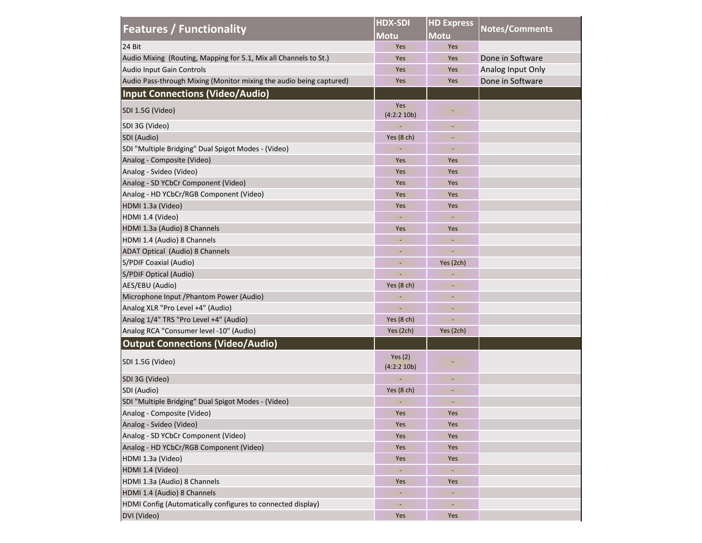| <b>Features / Functionality</b>                                     | <b>HDX-SDI</b>           | <b>HD Express</b> | Notes/Comments    |  |
|---------------------------------------------------------------------|--------------------------|-------------------|-------------------|--|
|                                                                     | <b>Motu</b>              | Motu              |                   |  |
| 24 Bit                                                              | Yes                      | Yes               |                   |  |
| Audio Mixing (Routing, Mapping for 5.1, Mix all Channels to St.)    | Yes                      | Yes               | Done in Software  |  |
| Audio Input Gain Controls                                           | Yes                      | Yes               | Analog Input Only |  |
| Audio Pass-through Mixing (Monitor mixing the audio being captured) | Yes                      | Yes               | Done in Software  |  |
| <b>Input Connections (Video/Audio)</b>                              |                          |                   |                   |  |
| SDI 1.5G (Video)                                                    | Yes<br>(4:2:2 10b)       |                   |                   |  |
| SDI 3G (Video)                                                      |                          |                   |                   |  |
| SDI (Audio)                                                         | Yes $(8 ch)$             |                   |                   |  |
| SDI "Multiple Bridging" Dual Spigot Modes - (Video)                 |                          |                   |                   |  |
| Analog - Composite (Video)                                          | Yes                      | Yes               |                   |  |
| Analog - Svideo (Video)                                             | Yes                      | Yes               |                   |  |
| Analog - SD YCbCr Component (Video)                                 | Yes                      | Yes               |                   |  |
| Analog - HD YCbCr/RGB Component (Video)                             | Yes                      | Yes               |                   |  |
| HDMI 1.3a (Video)                                                   | Yes                      | Yes               |                   |  |
| HDMI 1.4 (Video)                                                    |                          |                   |                   |  |
| HDMI 1.3a (Audio) 8 Channels                                        | Yes                      | Yes               |                   |  |
| HDMI 1.4 (Audio) 8 Channels                                         |                          |                   |                   |  |
| ADAT Optical (Audio) 8 Channels                                     | $\overline{\phantom{a}}$ |                   |                   |  |
| S/PDIF Coaxial (Audio)                                              | $\overline{\phantom{a}}$ | Yes (2ch)         |                   |  |
| S/PDIF Optical (Audio)                                              | Ξ                        |                   |                   |  |
| AES/EBU (Audio)                                                     | Yes $(8 ch)$             |                   |                   |  |
| Microphone Input / Phantom Power (Audio)                            |                          |                   |                   |  |
| Analog XLR "Pro Level +4" (Audio)                                   |                          |                   |                   |  |
| Analog 1/4" TRS "Pro Level +4" (Audio)                              | Yes $(8 ch)$             |                   |                   |  |
| Analog RCA "Consumer level -10" (Audio)                             | Yes (2ch)                | Yes (2ch)         |                   |  |
| <b>Output Connections (Video/Audio)</b>                             |                          |                   |                   |  |
| SDI 1.5G (Video)                                                    | Yes $(2)$<br>(4:2:2 10b) |                   |                   |  |
| SDI 3G (Video)                                                      |                          |                   |                   |  |
| SDI (Audio)                                                         | Yes $(8 ch)$             |                   |                   |  |
| SDI "Multiple Bridging" Dual Spigot Modes - (Video)                 |                          |                   |                   |  |
| Analog - Composite (Video)                                          | Yes                      | Yes               |                   |  |
| Analog - Svideo (Video)                                             | Yes                      | Yes               |                   |  |
| Analog - SD YCbCr Component (Video)                                 | Yes                      | Yes               |                   |  |
| Analog - HD YCbCr/RGB Component (Video)                             | Yes                      | Yes               |                   |  |
| HDMI 1.3a (Video)                                                   | Yes                      | Yes               |                   |  |
| HDMI 1.4 (Video)                                                    |                          | $\blacksquare$    |                   |  |
| HDMI 1.3a (Audio) 8 Channels                                        | Yes                      | Yes               |                   |  |
| HDMI 1.4 (Audio) 8 Channels                                         |                          |                   |                   |  |
| HDMI Config (Automatically configures to connected display)         | ÷,                       | ÷,                |                   |  |
| DVI (Video)                                                         | Yes                      | Yes               |                   |  |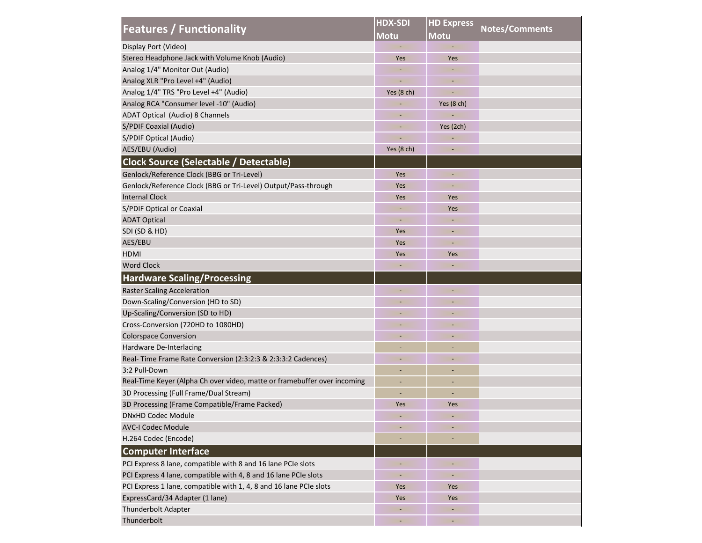| <b>Features / Functionality</b>                                          | <b>HDX-SDI</b>               | <b>HD Express</b>        |                       |  |
|--------------------------------------------------------------------------|------------------------------|--------------------------|-----------------------|--|
|                                                                          | <b>Motu</b>                  | <b>Motu</b>              | <b>Notes/Comments</b> |  |
| Display Port (Video)                                                     |                              |                          |                       |  |
| Stereo Headphone Jack with Volume Knob (Audio)                           | Yes                          | Yes                      |                       |  |
| Analog 1/4" Monitor Out (Audio)                                          |                              |                          |                       |  |
| Analog XLR "Pro Level +4" (Audio)                                        |                              | $\overline{\phantom{a}}$ |                       |  |
| Analog 1/4" TRS "Pro Level +4" (Audio)                                   | Yes $(8 ch)$                 |                          |                       |  |
| Analog RCA "Consumer level -10" (Audio)                                  |                              | Yes (8 ch)               |                       |  |
| ADAT Optical (Audio) 8 Channels                                          |                              |                          |                       |  |
| S/PDIF Coaxial (Audio)                                                   |                              | Yes (2ch)                |                       |  |
| S/PDIF Optical (Audio)                                                   |                              |                          |                       |  |
| AES/EBU (Audio)                                                          | Yes $(8 ch)$                 |                          |                       |  |
| <b>Clock Source (Selectable / Detectable)</b>                            |                              |                          |                       |  |
| Genlock/Reference Clock (BBG or Tri-Level)                               | Yes                          |                          |                       |  |
| Genlock/Reference Clock (BBG or Tri-Level) Output/Pass-through           | Yes                          |                          |                       |  |
| <b>Internal Clock</b>                                                    | Yes                          | Yes                      |                       |  |
| S/PDIF Optical or Coaxial                                                | $\sim$                       | Yes                      |                       |  |
| <b>ADAT Optical</b>                                                      |                              |                          |                       |  |
| SDI (SD & HD)                                                            | Yes                          | $\overline{\phantom{a}}$ |                       |  |
| AES/EBU                                                                  | Yes                          |                          |                       |  |
| <b>HDMI</b>                                                              | Yes                          | Yes                      |                       |  |
| <b>Word Clock</b>                                                        |                              |                          |                       |  |
| <b>Hardware Scaling/Processing</b>                                       |                              |                          |                       |  |
| <b>Raster Scaling Acceleration</b>                                       |                              |                          |                       |  |
| Down-Scaling/Conversion (HD to SD)                                       |                              |                          |                       |  |
| Up-Scaling/Conversion (SD to HD)                                         |                              |                          |                       |  |
| Cross-Conversion (720HD to 1080HD)                                       |                              |                          |                       |  |
| <b>Colorspace Conversion</b>                                             | $\sim$                       | ٠                        |                       |  |
| Hardware De-Interlacing                                                  |                              | $\overline{\phantom{a}}$ |                       |  |
| Real-Time Frame Rate Conversion (2:3:2:3 & 2:3:3:2 Cadences)             | $\qquad \qquad \blacksquare$ | $\overline{\phantom{a}}$ |                       |  |
| 3:2 Pull-Down                                                            |                              |                          |                       |  |
| Real-Time Keyer (Alpha Ch over video, matte or framebuffer over incoming |                              |                          |                       |  |
| 3D Processing (Full Frame/Dual Stream)                                   |                              |                          |                       |  |
| 3D Processing (Frame Compatible/Frame Packed)                            | Yes                          | Yes                      |                       |  |
| <b>DNxHD Codec Module</b>                                                |                              |                          |                       |  |
| <b>AVC-I Codec Module</b>                                                |                              |                          |                       |  |
| H.264 Codec (Encode)                                                     | ۰                            | $\overline{\phantom{a}}$ |                       |  |
| <b>Computer Interface</b>                                                |                              |                          |                       |  |
| PCI Express 8 lane, compatible with 8 and 16 lane PCIe slots             | ٠                            | $\overline{\phantom{a}}$ |                       |  |
| PCI Express 4 lane, compatible with 4, 8 and 16 lane PCIe slots          |                              |                          |                       |  |
| PCI Express 1 lane, compatible with 1, 4, 8 and 16 lane PCIe slots       | Yes                          | Yes                      |                       |  |
| ExpressCard/34 Adapter (1 lane)                                          | Yes                          | Yes                      |                       |  |
| Thunderbolt Adapter                                                      |                              |                          |                       |  |
| Thunderbolt                                                              |                              | $\overline{\phantom{a}}$ |                       |  |